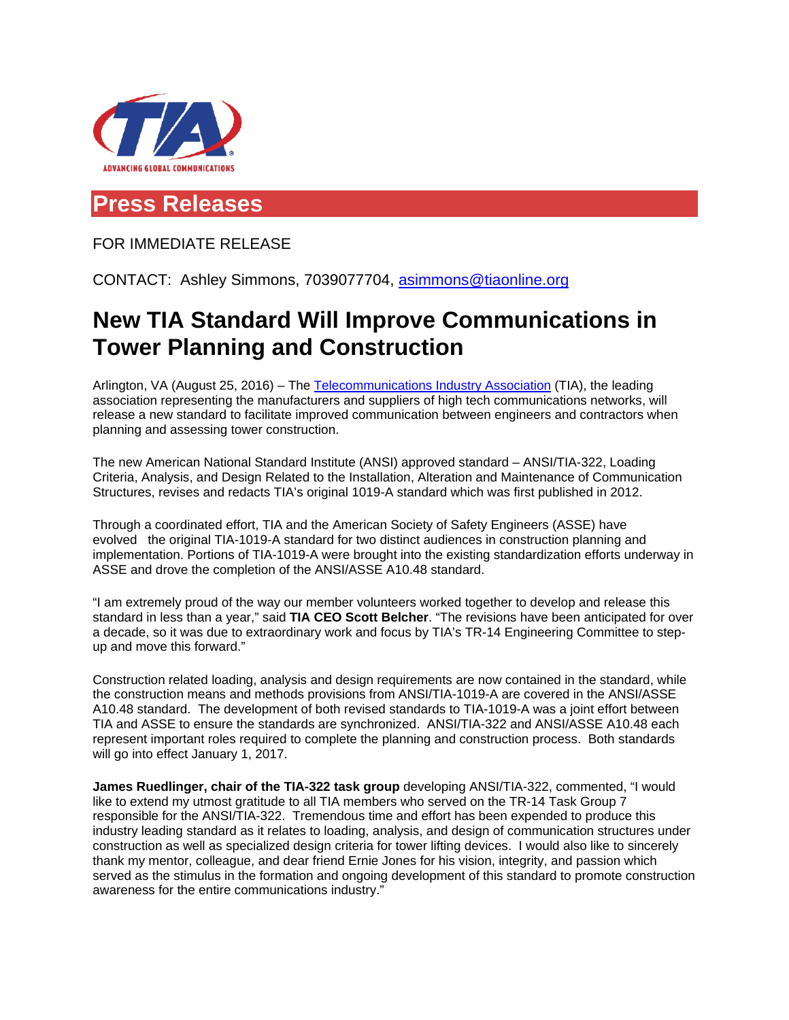

## **Press Releases**

FOR IMMEDIATE RELEASE

CONTACT: Ashley Simmons, 7039077704, [asimmons@tiaonline.org](mailto:asimmons@tiaonline.org)

## **New TIA Standard Will Improve Communications in Tower Planning and Construction**

Arlington, VA (August 25, 2016) – The [Telecommunications Industry Association](http://www.tiaonline.org/) (TIA), the leading association representing the manufacturers and suppliers of high tech communications networks, will release a new standard to facilitate improved communication between engineers and contractors when planning and assessing tower construction.

The new American National Standard Institute (ANSI) approved standard – ANSI/TIA-322, Loading Criteria, Analysis, and Design Related to the Installation, Alteration and Maintenance of Communication Structures, revises and redacts TIA's original 1019-A standard which was first published in 2012.

Through a coordinated effort, TIA and the American Society of Safety Engineers (ASSE) have evolved the original TIA-1019-A standard for two distinct audiences in construction planning and implementation. Portions of TIA-1019-A were brought into the existing standardization efforts underway in ASSE and drove the completion of the ANSI/ASSE A10.48 standard.

"I am extremely proud of the way our member volunteers worked together to develop and release this standard in less than a year," said **TIA CEO Scott Belcher**. "The revisions have been anticipated for over a decade, so it was due to extraordinary work and focus by TIA's TR-14 Engineering Committee to stepup and move this forward."

Construction related loading, analysis and design requirements are now contained in the standard, while the construction means and methods provisions from ANSI/TIA-1019-A are covered in the ANSI/ASSE A10.48 standard. The development of both revised standards to TIA-1019-A was a joint effort between TIA and ASSE to ensure the standards are synchronized. ANSI/TIA-322 and ANSI/ASSE A10.48 each represent important roles required to complete the planning and construction process. Both standards will go into effect January 1, 2017.

**James Ruedlinger, chair of the TIA-322 task group** developing ANSI/TIA-322, commented, "I would like to extend my utmost gratitude to all TIA members who served on the TR-14 Task Group 7 responsible for the ANSI/TIA-322. Tremendous time and effort has been expended to produce this industry leading standard as it relates to loading, analysis, and design of communication structures under construction as well as specialized design criteria for tower lifting devices. I would also like to sincerely thank my mentor, colleague, and dear friend Ernie Jones for his vision, integrity, and passion which served as the stimulus in the formation and ongoing development of this standard to promote construction awareness for the entire communications industry."